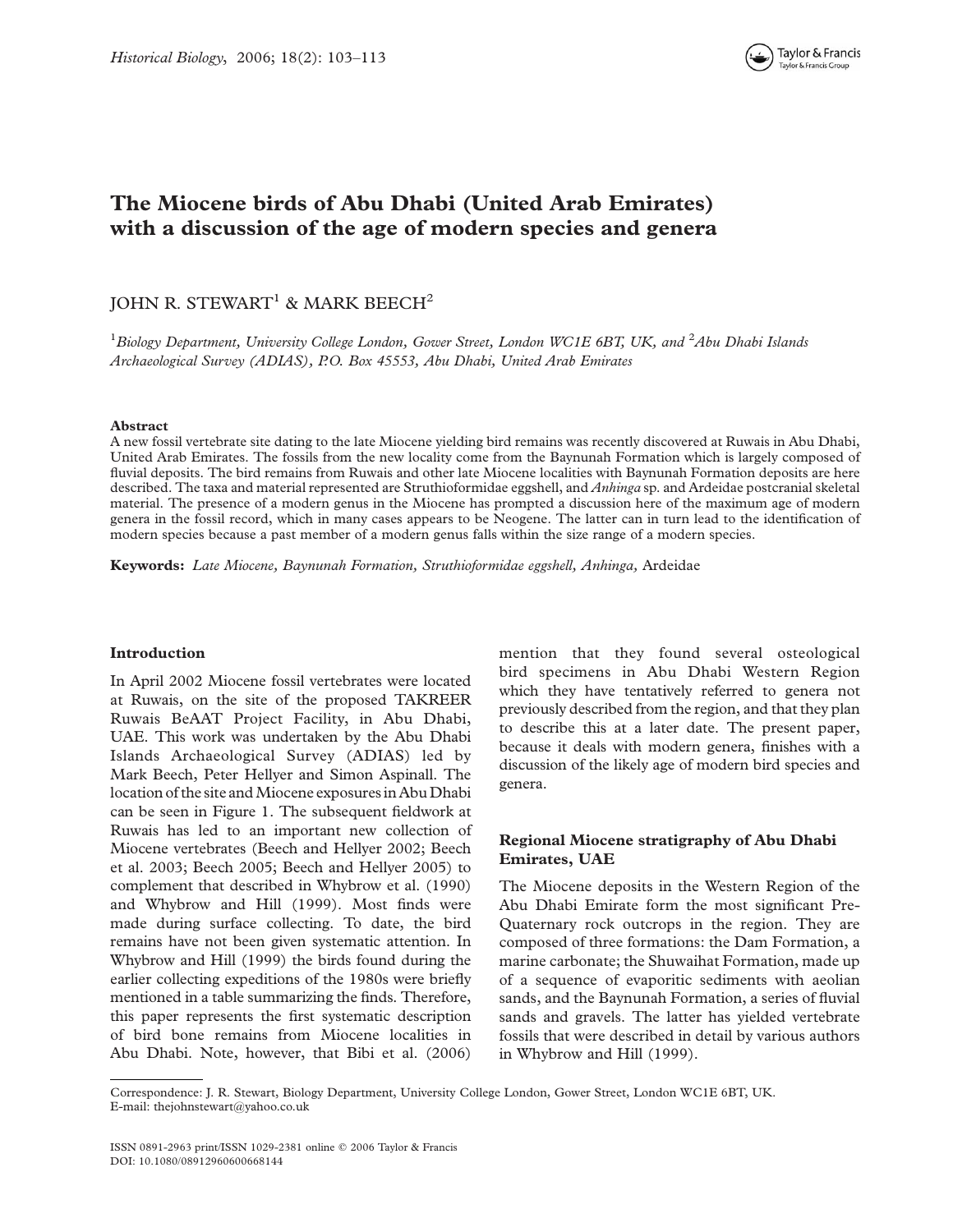

# The Miocene birds of Abu Dhabi (United Arab Emirates) with a discussion of the age of modern species and genera

# $JOHN$  R. STEWART<sup>1</sup> & MARK BEECH<sup>2</sup>

<sup>1</sup> Biology Department, University College London, Gower Street, London WC1E 6BT, UK, and <sup>2</sup>Abu Dhabi Islands Archaeological Survey (ADIAS), P.O. Box 45553, Abu Dhabi, United Arab Emirates

#### Abstract

A new fossil vertebrate site dating to the late Miocene yielding bird remains was recently discovered at Ruwais in Abu Dhabi, United Arab Emirates. The fossils from the new locality come from the Baynunah Formation which is largely composed of fluvial deposits. The bird remains from Ruwais and other late Miocene localities with Baynunah Formation deposits are here described. The taxa and material represented are Struthioformidae eggshell, and Anhinga sp. and Ardeidae postcranial skeletal material. The presence of a modern genus in the Miocene has prompted a discussion here of the maximum age of modern genera in the fossil record, which in many cases appears to be Neogene. The latter can in turn lead to the identification of modern species because a past member of a modern genus falls within the size range of a modern species.

Keywords: Late Miocene, Baynunah Formation, Struthioformidae eggshell, Anhinga, Ardeidae

### Introduction

In April 2002 Miocene fossil vertebrates were located at Ruwais, on the site of the proposed TAKREER Ruwais BeAAT Project Facility, in Abu Dhabi, UAE. This work was undertaken by the Abu Dhabi Islands Archaeological Survey (ADIAS) led by Mark Beech, Peter Hellyer and Simon Aspinall. The location of the site and Miocene exposures in Abu Dhabi can be seen in Figure 1. The subsequent fieldwork at Ruwais has led to an important new collection of Miocene vertebrates (Beech and Hellyer 2002; Beech et al. 2003; Beech 2005; Beech and Hellyer 2005) to complement that described in Whybrow et al. (1990) and Whybrow and Hill (1999). Most finds were made during surface collecting. To date, the bird remains have not been given systematic attention. In Whybrow and Hill (1999) the birds found during the earlier collecting expeditions of the 1980s were briefly mentioned in a table summarizing the finds. Therefore, this paper represents the first systematic description of bird bone remains from Miocene localities in Abu Dhabi. Note, however, that Bibi et al. (2006)

mention that they found several osteological bird specimens in Abu Dhabi Western Region which they have tentatively referred to genera not previously described from the region, and that they plan to describe this at a later date. The present paper, because it deals with modern genera, finishes with a discussion of the likely age of modern bird species and genera.

## Regional Miocene stratigraphy of Abu Dhabi Emirates, UAE

The Miocene deposits in the Western Region of the Abu Dhabi Emirate form the most significant Pre-Quaternary rock outcrops in the region. They are composed of three formations: the Dam Formation, a marine carbonate; the Shuwaihat Formation, made up of a sequence of evaporitic sediments with aeolian sands, and the Baynunah Formation, a series of fluvial sands and gravels. The latter has yielded vertebrate fossils that were described in detail by various authors in Whybrow and Hill (1999).

Correspondence: J. R. Stewart, Biology Department, University College London, Gower Street, London WC1E 6BT, UK. E-mail: thejohnstewart@yahoo.co.uk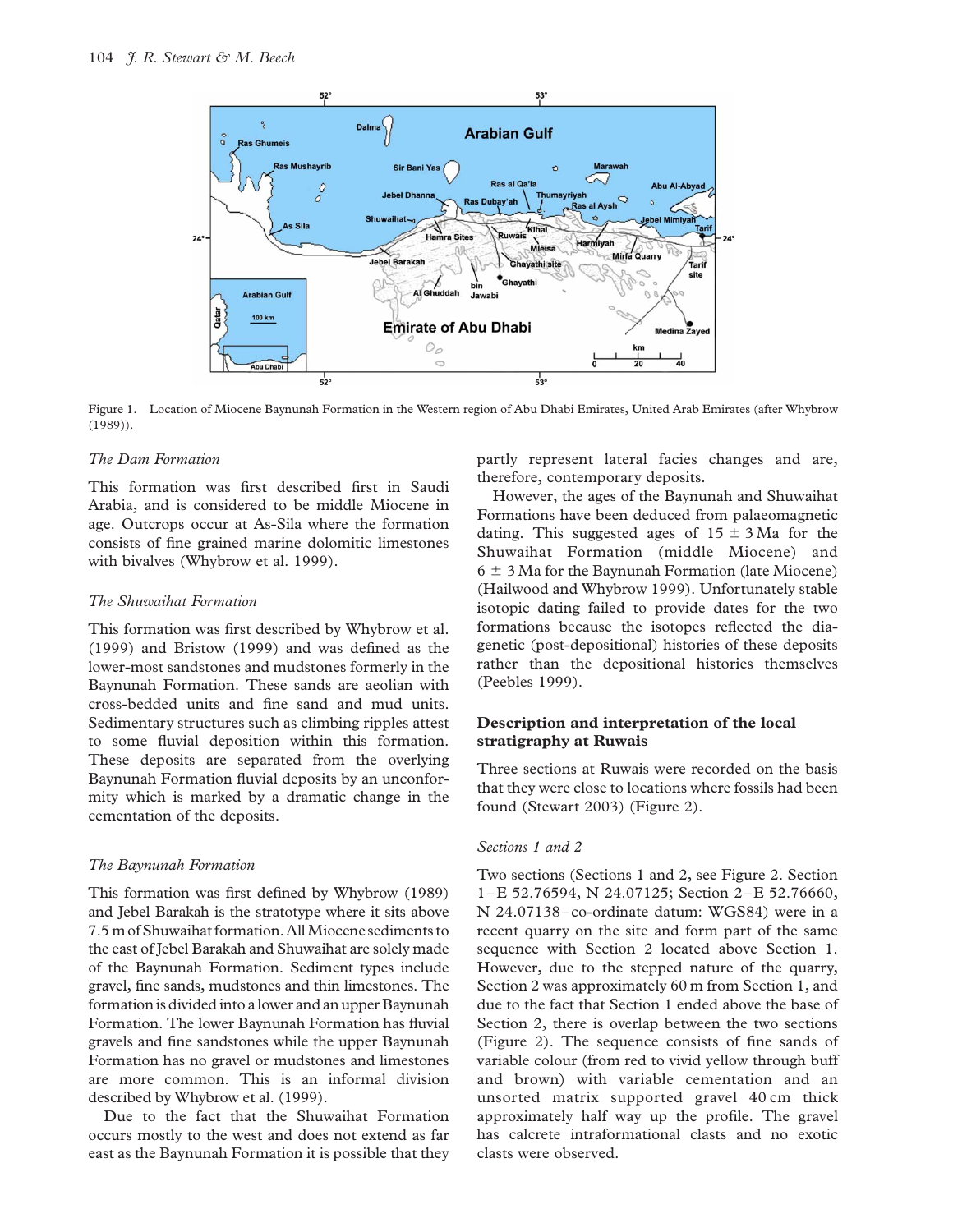

Figure 1. Location of Miocene Baynunah Formation in the Western region of Abu Dhabi Emirates, United Arab Emirates (after Whybrow (1989)).

## The Dam Formation

This formation was first described first in Saudi Arabia, and is considered to be middle Miocene in age. Outcrops occur at As-Sila where the formation consists of fine grained marine dolomitic limestones with bivalves (Whybrow et al. 1999).

### The Shuwaihat Formation

This formation was first described by Whybrow et al. (1999) and Bristow (1999) and was defined as the lower-most sandstones and mudstones formerly in the Baynunah Formation. These sands are aeolian with cross-bedded units and fine sand and mud units. Sedimentary structures such as climbing ripples attest to some fluvial deposition within this formation. These deposits are separated from the overlying Baynunah Formation fluvial deposits by an unconformity which is marked by a dramatic change in the cementation of the deposits.

#### The Baynunah Formation

This formation was first defined by Whybrow (1989) and Jebel Barakah is the stratotype where it sits above 7.5 m of Shuwaihat formation. All Miocene sediments to the east of Jebel Barakah and Shuwaihat are solely made of the Baynunah Formation. Sediment types include gravel, fine sands, mudstones and thin limestones. The formation is divided into a lower and an upper Baynunah Formation. The lower Baynunah Formation has fluvial gravels and fine sandstones while the upper Baynunah Formation has no gravel or mudstones and limestones are more common. This is an informal division described by Whybrow et al. (1999).

Due to the fact that the Shuwaihat Formation occurs mostly to the west and does not extend as far east as the Baynunah Formation it is possible that they partly represent lateral facies changes and are, therefore, contemporary deposits.

However, the ages of the Baynunah and Shuwaihat Formations have been deduced from palaeomagnetic dating. This suggested ages of  $15 \pm 3$  Ma for the Shuwaihat Formation (middle Miocene) and  $6 \pm 3$  Ma for the Baynunah Formation (late Miocene) (Hailwood and Whybrow 1999). Unfortunately stable isotopic dating failed to provide dates for the two formations because the isotopes reflected the diagenetic (post-depositional) histories of these deposits rather than the depositional histories themselves (Peebles 1999).

# Description and interpretation of the local stratigraphy at Ruwais

Three sections at Ruwais were recorded on the basis that they were close to locations where fossils had been found (Stewart 2003) (Figure 2).

### Sections 1 and 2

Two sections (Sections 1 and 2, see Figure 2. Section 1–E 52.76594, N 24.07125; Section 2–E 52.76660, N 24.07138–co-ordinate datum: WGS84) were in a recent quarry on the site and form part of the same sequence with Section 2 located above Section 1. However, due to the stepped nature of the quarry, Section 2 was approximately 60 m from Section 1, and due to the fact that Section 1 ended above the base of Section 2, there is overlap between the two sections (Figure 2). The sequence consists of fine sands of variable colour (from red to vivid yellow through buff and brown) with variable cementation and an unsorted matrix supported gravel 40 cm thick approximately half way up the profile. The gravel has calcrete intraformational clasts and no exotic clasts were observed.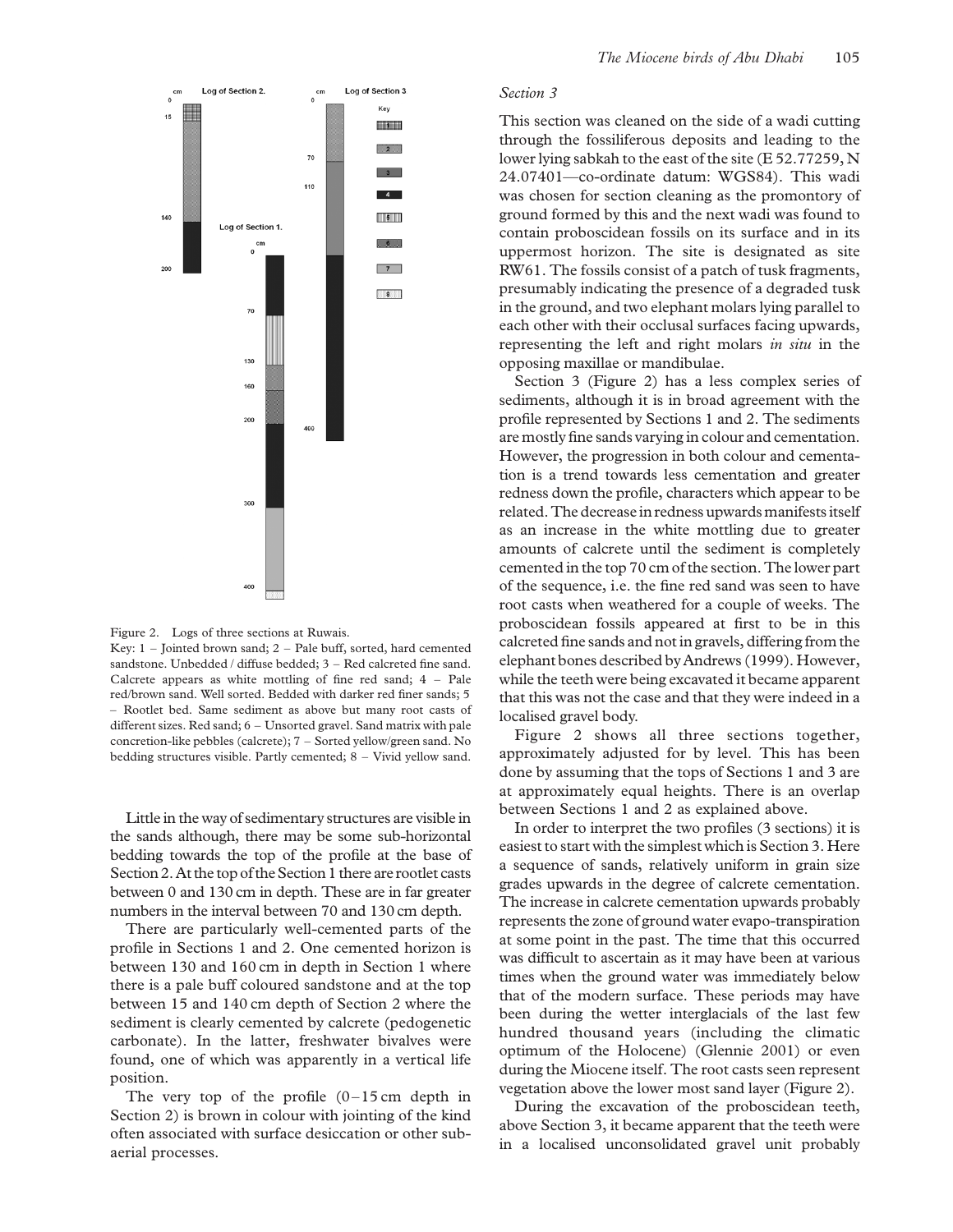

Figure 2. Logs of three sections at Ruwais.

Key: 1 – Jointed brown sand; 2 – Pale buff, sorted, hard cemented sandstone. Unbedded / diffuse bedded; 3 - Red calcreted fine sand. Calcrete appears as white mottling of fine red sand;  $4 -$  Pale red/brown sand. Well sorted. Bedded with darker red finer sands; 5 – Rootlet bed. Same sediment as above but many root casts of different sizes. Red sand; 6 – Unsorted gravel. Sand matrix with pale concretion-like pebbles (calcrete); 7 – Sorted yellow/green sand. No bedding structures visible. Partly cemented; 8 – Vivid yellow sand.

Little in the way of sedimentary structures are visible in the sands although, there may be some sub-horizontal bedding towards the top of the profile at the base of Section 2. At the top of the Section 1 there are rootlet casts between 0 and 130 cm in depth. These are in far greater numbers in the interval between 70 and 130 cm depth.

There are particularly well-cemented parts of the profile in Sections 1 and 2. One cemented horizon is between 130 and 160 cm in depth in Section 1 where there is a pale buff coloured sandstone and at the top between 15 and 140 cm depth of Section 2 where the sediment is clearly cemented by calcrete (pedogenetic carbonate). In the latter, freshwater bivalves were found, one of which was apparently in a vertical life position.

The very top of the profile  $(0-15 \text{ cm}$  depth in Section 2) is brown in colour with jointing of the kind often associated with surface desiccation or other subaerial processes.

## Section 3

This section was cleaned on the side of a wadi cutting through the fossiliferous deposits and leading to the lower lying sabkah to the east of the site (E 52.77259, N 24.07401—co-ordinate datum: WGS84). This wadi was chosen for section cleaning as the promontory of ground formed by this and the next wadi was found to contain proboscidean fossils on its surface and in its uppermost horizon. The site is designated as site RW61. The fossils consist of a patch of tusk fragments, presumably indicating the presence of a degraded tusk in the ground, and two elephant molars lying parallel to each other with their occlusal surfaces facing upwards, representing the left and right molars in situ in the opposing maxillae or mandibulae.

Section 3 (Figure 2) has a less complex series of sediments, although it is in broad agreement with the profile represented by Sections 1 and 2. The sediments are mostly fine sands varying in colour and cementation. However, the progression in both colour and cementation is a trend towards less cementation and greater redness down the profile, characters which appear to be related. The decrease in redness upwards manifests itself as an increase in the white mottling due to greater amounts of calcrete until the sediment is completely cemented in the top 70 cm of the section. The lower part of the sequence, i.e. the fine red sand was seen to have root casts when weathered for a couple of weeks. The proboscidean fossils appeared at first to be in this calcreted fine sands and not in gravels, differing from the elephant bones described by Andrews (1999). However, while the teeth were being excavated it became apparent that this was not the case and that they were indeed in a localised gravel body.

Figure 2 shows all three sections together, approximately adjusted for by level. This has been done by assuming that the tops of Sections 1 and 3 are at approximately equal heights. There is an overlap between Sections 1 and 2 as explained above.

In order to interpret the two profiles (3 sections) it is easiest to start with the simplest which is Section 3. Here a sequence of sands, relatively uniform in grain size grades upwards in the degree of calcrete cementation. The increase in calcrete cementation upwards probably represents the zone of ground water evapo-transpiration at some point in the past. The time that this occurred was difficult to ascertain as it may have been at various times when the ground water was immediately below that of the modern surface. These periods may have been during the wetter interglacials of the last few hundred thousand years (including the climatic optimum of the Holocene) (Glennie 2001) or even during the Miocene itself. The root casts seen represent vegetation above the lower most sand layer (Figure 2).

During the excavation of the proboscidean teeth, above Section 3, it became apparent that the teeth were in a localised unconsolidated gravel unit probably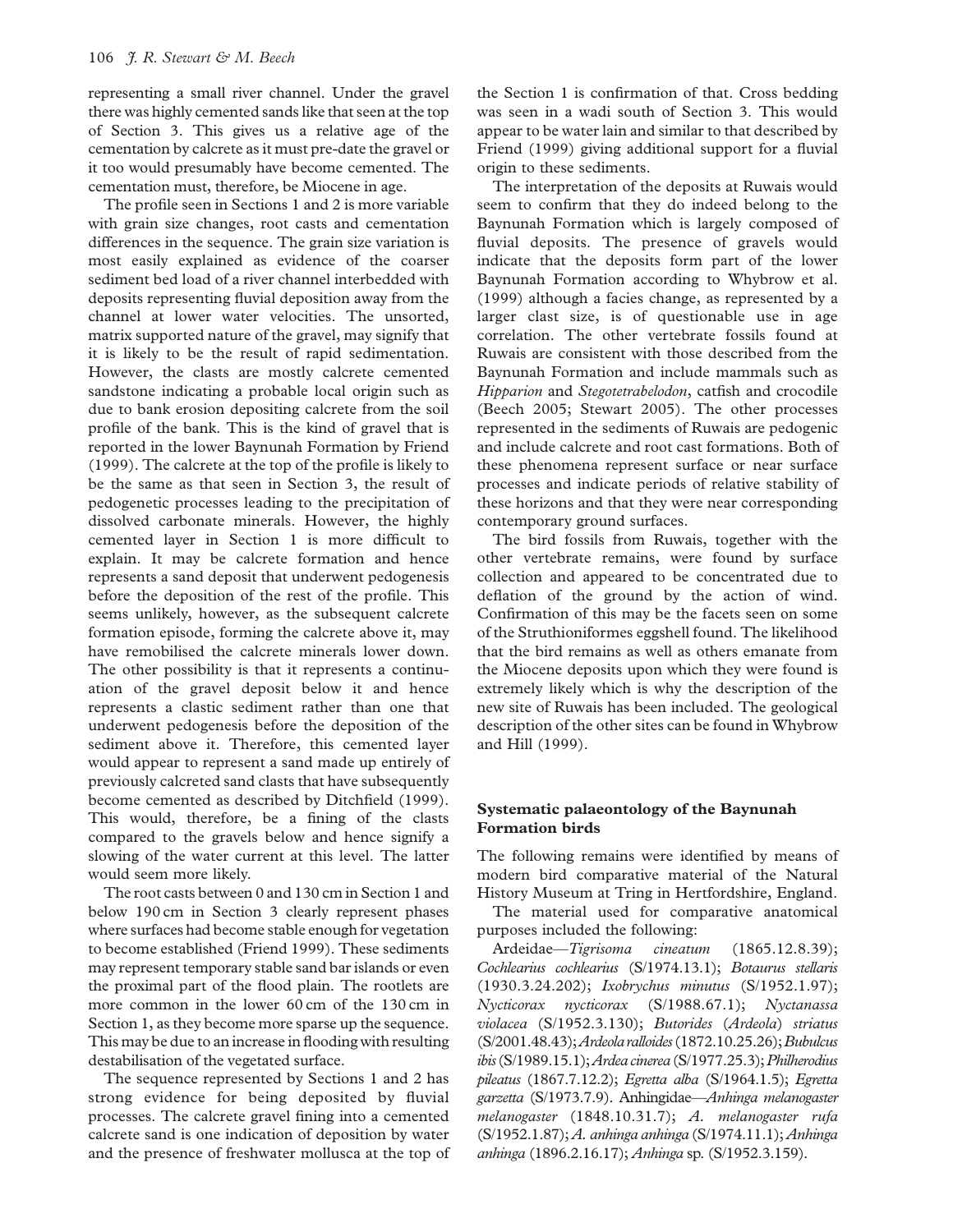representing a small river channel. Under the gravel there was highly cemented sands like that seen at the top of Section 3. This gives us a relative age of the cementation by calcrete as it must pre-date the gravel or it too would presumably have become cemented. The cementation must, therefore, be Miocene in age.

The profile seen in Sections 1 and 2 is more variable with grain size changes, root casts and cementation differences in the sequence. The grain size variation is most easily explained as evidence of the coarser sediment bed load of a river channel interbedded with deposits representing fluvial deposition away from the channel at lower water velocities. The unsorted, matrix supported nature of the gravel, may signify that it is likely to be the result of rapid sedimentation. However, the clasts are mostly calcrete cemented sandstone indicating a probable local origin such as due to bank erosion depositing calcrete from the soil profile of the bank. This is the kind of gravel that is reported in the lower Baynunah Formation by Friend (1999). The calcrete at the top of the profile is likely to be the same as that seen in Section 3, the result of pedogenetic processes leading to the precipitation of dissolved carbonate minerals. However, the highly cemented layer in Section 1 is more difficult to explain. It may be calcrete formation and hence represents a sand deposit that underwent pedogenesis before the deposition of the rest of the profile. This seems unlikely, however, as the subsequent calcrete formation episode, forming the calcrete above it, may have remobilised the calcrete minerals lower down. The other possibility is that it represents a continuation of the gravel deposit below it and hence represents a clastic sediment rather than one that underwent pedogenesis before the deposition of the sediment above it. Therefore, this cemented layer would appear to represent a sand made up entirely of previously calcreted sand clasts that have subsequently become cemented as described by Ditchfield (1999). This would, therefore, be a fining of the clasts compared to the gravels below and hence signify a slowing of the water current at this level. The latter would seem more likely.

The root casts between 0 and 130 cm in Section 1 and below 190 cm in Section 3 clearly represent phases where surfaces had become stable enough for vegetation to become established (Friend 1999). These sediments may represent temporary stable sand bar islands or even the proximal part of the flood plain. The rootlets are more common in the lower 60 cm of the 130 cm in Section 1, as they become more sparse up the sequence. This may be due to an increase in flooding with resulting destabilisation of the vegetated surface.

The sequence represented by Sections 1 and 2 has strong evidence for being deposited by fluvial processes. The calcrete gravel fining into a cemented calcrete sand is one indication of deposition by water and the presence of freshwater mollusca at the top of the Section 1 is confirmation of that. Cross bedding was seen in a wadi south of Section 3. This would appear to be water lain and similar to that described by Friend (1999) giving additional support for a fluvial origin to these sediments.

The interpretation of the deposits at Ruwais would seem to confirm that they do indeed belong to the Baynunah Formation which is largely composed of fluvial deposits. The presence of gravels would indicate that the deposits form part of the lower Baynunah Formation according to Whybrow et al. (1999) although a facies change, as represented by a larger clast size, is of questionable use in age correlation. The other vertebrate fossils found at Ruwais are consistent with those described from the Baynunah Formation and include mammals such as Hipparion and Stegotetrabelodon, catfish and crocodile (Beech 2005; Stewart 2005). The other processes represented in the sediments of Ruwais are pedogenic and include calcrete and root cast formations. Both of these phenomena represent surface or near surface processes and indicate periods of relative stability of these horizons and that they were near corresponding contemporary ground surfaces.

The bird fossils from Ruwais, together with the other vertebrate remains, were found by surface collection and appeared to be concentrated due to deflation of the ground by the action of wind. Confirmation of this may be the facets seen on some of the Struthioniformes eggshell found. The likelihood that the bird remains as well as others emanate from the Miocene deposits upon which they were found is extremely likely which is why the description of the new site of Ruwais has been included. The geological description of the other sites can be found in Whybrow and Hill (1999).

# Systematic palaeontology of the Baynunah Formation birds

The following remains were identified by means of modern bird comparative material of the Natural History Museum at Tring in Hertfordshire, England.

The material used for comparative anatomical purposes included the following:

Ardeidae—Tigrisoma cineatum (1865.12.8.39); Cochlearius cochlearius (S/1974.13.1); Botaurus stellaris (1930.3.24.202); Ixobrychus minutus (S/1952.1.97); Nycticorax nycticorax (S/1988.67.1); Nyctanassa violacea (S/1952.3.130); Butorides (Ardeola) striatus (S/2001.48.43);Ardeola ralloides(1872.10.25.26);Bubulcus ibis(S/1989.15.1);Ardea cinerea(S/1977.25.3);Philherodius pileatus (1867.7.12.2); Egretta alba (S/1964.1.5); Egretta garzetta (S/1973.7.9). Anhingidae—Anhinga melanogaster melanogaster (1848.10.31.7); A. melanogaster rufa (S/1952.1.87); A. anhinga anhinga (S/1974.11.1); Anhinga anhinga (1896.2.16.17); Anhinga sp. (S/1952.3.159).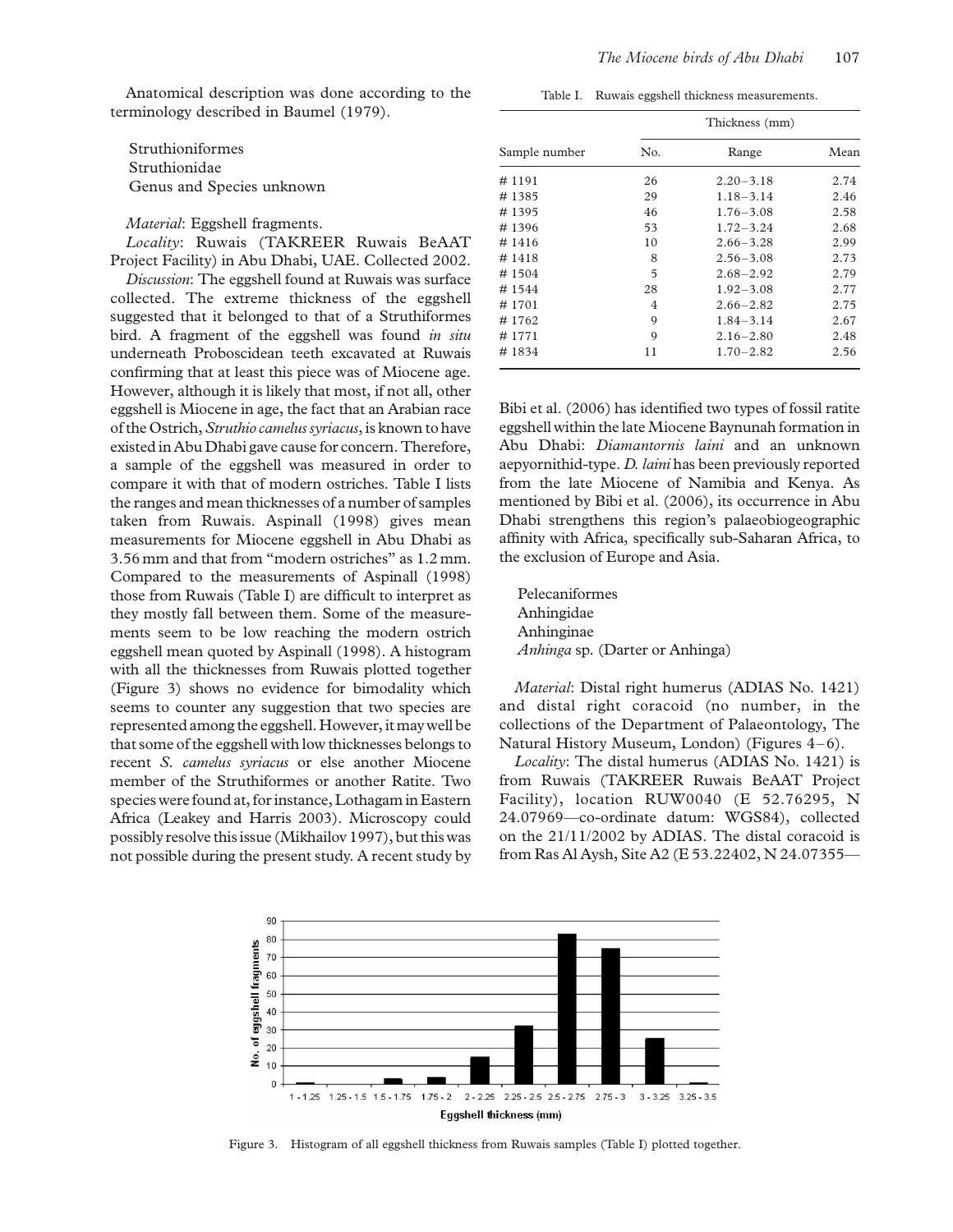Anatomical description was done according to the terminology described in Baumel (1979).

Struthioniformes Struthionidae Genus and Species unknown

Material: Eggshell fragments.

Locality: Ruwais (TAKREER Ruwais BeAAT Project Facility) in Abu Dhabi, UAE. Collected 2002.

Discussion: The eggshell found at Ruwais was surface collected. The extreme thickness of the eggshell suggested that it belonged to that of a Struthiformes bird. A fragment of the eggshell was found in situ underneath Proboscidean teeth excavated at Ruwais confirming that at least this piece was of Miocene age. However, although it is likely that most, if not all, other eggshell is Miocene in age, the fact that an Arabian race of the Ostrich, Struthio camelus syriacus, is known to have existed in Abu Dhabi gave cause for concern. Therefore, a sample of the eggshell was measured in order to compare it with that of modern ostriches. Table I lists the ranges and mean thicknesses of a number of samples taken from Ruwais. Aspinall (1998) gives mean measurements for Miocene eggshell in Abu Dhabi as 3.56 mm and that from "modern ostriches" as 1.2 mm. Compared to the measurements of Aspinall (1998) those from Ruwais (Table I) are difficult to interpret as they mostly fall between them. Some of the measurements seem to be low reaching the modern ostrich eggshell mean quoted by Aspinall (1998). A histogram with all the thicknesses from Ruwais plotted together (Figure 3) shows no evidence for bimodality which seems to counter any suggestion that two species are representedamong the eggshell. However, itmay well be that some of the eggshell with low thicknesses belongs to recent S. camelus syriacus or else another Miocene member of the Struthiformes or another Ratite. Two species were found at, for instance, Lothagam in Eastern Africa (Leakey and Harris 2003). Microscopy could possibly resolve this issue (Mikhailov 1997), but thiswas not possible during the present study. A recent study by

Thickness (mm) Sample number No. Range Mean # 1191 26 2.20–3.18 2.74 # 1385 29 1.18–3.14 2.46 # 1395 46 1.76–3.08 2.58 # 1396 53 1.72–3.24 2.68 # 1416 10 2.66–3.28 2.99 # 1418 8 2.56–3.08 2.73 # 1504 5 2.68–2.92 2.79 # 1544 28 1.92–3.08 2.77 # 1701 4 2.66–2.82 2.75

# 1762 9 1.84–3.14 2.67 # 1771 9 2.16–2.80 2.48 # 1834 11 1.70–2.82 2.56

Table I. Ruwais eggshell thickness measurements.

Bibi et al. (2006) has identified two types of fossil ratite eggshell within the late Miocene Baynunah formation in Abu Dhabi: Diamantornis laini and an unknown aepyornithid-type. D. laini has been previously reported from the late Miocene of Namibia and Kenya. As mentioned by Bibi et al. (2006), its occurrence in Abu Dhabi strengthens this region's palaeobiogeographic affinity with Africa, specifically sub-Saharan Africa, to the exclusion of Europe and Asia.

Pelecaniformes Anhingidae Anhinginae Anhinga sp. (Darter or Anhinga)

Material: Distal right humerus (ADIAS No. 1421) and distal right coracoid (no number, in the collections of the Department of Palaeontology, The Natural History Museum, London) (Figures 4–6).

Locality: The distal humerus (ADIAS No. 1421) is from Ruwais (TAKREER Ruwais BeAAT Project Facility), location RUW0040 (E 52.76295, N 24.07969—co-ordinate datum: WGS84), collected on the 21/11/2002 by ADIAS. The distal coracoid is from Ras Al Aysh, Site A2 (E 53.22402, N 24.07355—



Figure 3. Histogram of all eggshell thickness from Ruwais samples (Table I) plotted together.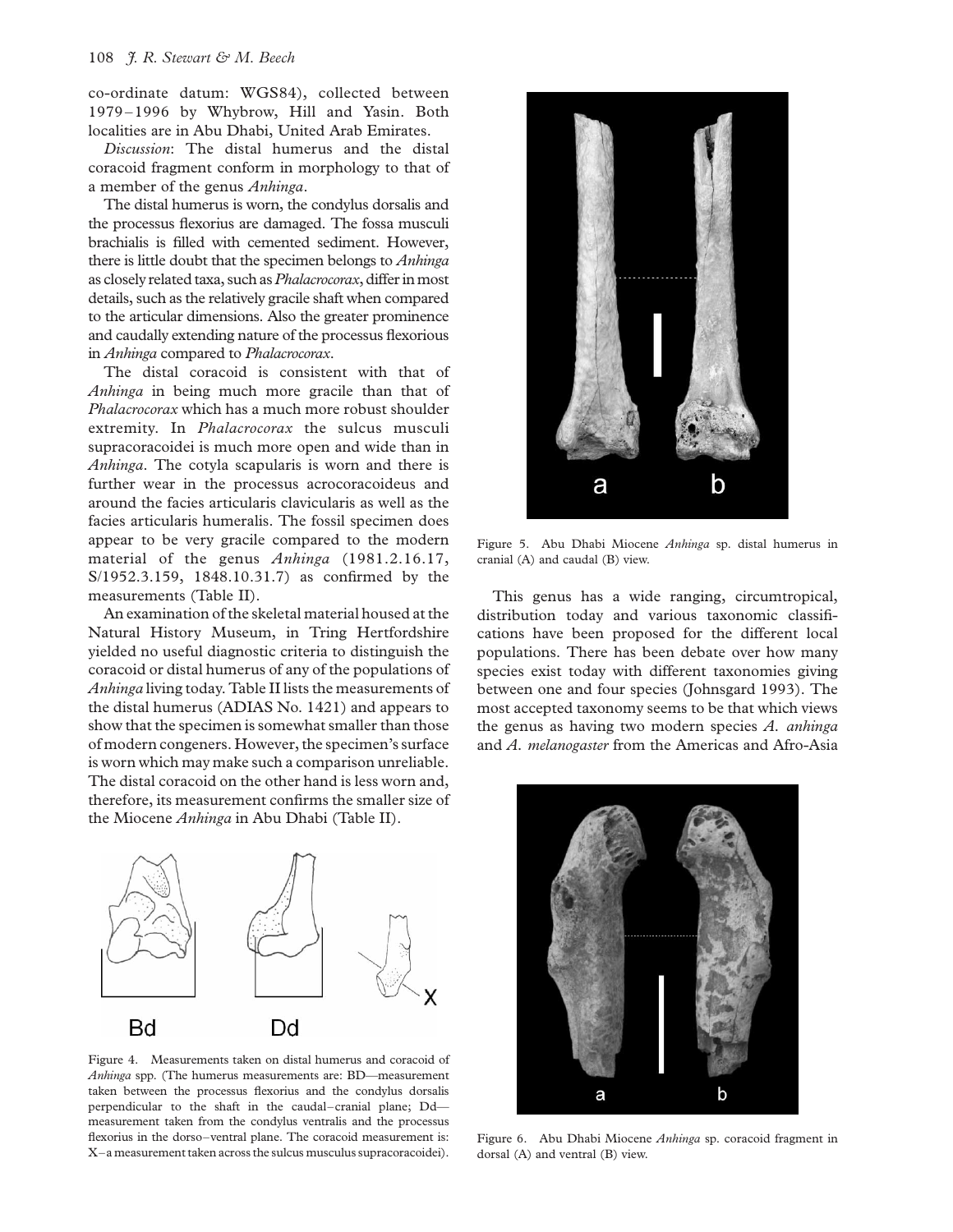co-ordinate datum: WGS84), collected between 1979–1996 by Whybrow, Hill and Yasin. Both localities are in Abu Dhabi, United Arab Emirates.

Discussion: The distal humerus and the distal coracoid fragment conform in morphology to that of a member of the genus Anhinga.

The distal humerus is worn, the condylus dorsalis and the processus flexorius are damaged. The fossa musculi brachialis is filled with cemented sediment. However, there is little doubt that the specimen belongs to *Anhinga* as closely related taxa, such as *Phalacrocorax*, differ in most details, such as the relatively gracile shaft when compared to the articular dimensions. Also the greater prominence and caudally extending nature of the processus flexorious in Anhinga compared to Phalacrocorax.

The distal coracoid is consistent with that of Anhinga in being much more gracile than that of Phalacrocorax which has a much more robust shoulder extremity. In Phalacrocorax the sulcus musculi supracoracoidei is much more open and wide than in Anhinga. The cotyla scapularis is worn and there is further wear in the processus acrocoracoideus and around the facies articularis clavicularis as well as the facies articularis humeralis. The fossil specimen does appear to be very gracile compared to the modern material of the genus Anhinga (1981.2.16.17, S/1952.3.159, 1848.10.31.7) as confirmed by the measurements (Table II).

An examination of the skeletal material housed at the Natural History Museum, in Tring Hertfordshire yielded no useful diagnostic criteria to distinguish the coracoid or distal humerus of any of the populations of Anhinga living today. Table II lists the measurements of the distal humerus (ADIAS No. 1421) and appears to show that the specimen is somewhat smaller than those of modern congeners. However, the specimen's surface is worn which may make such a comparison unreliable. The distal coracoid on the other hand is less worn and, therefore, its measurement confirms the smaller size of the Miocene Anhinga in Abu Dhabi (Table II).



Figure 4. Measurements taken on distal humerus and coracoid of Anhinga spp. (The humerus measurements are: BD—measurement taken between the processus flexorius and the condylus dorsalis perpendicular to the shaft in the caudal–cranial plane; Dd measurement taken from the condylus ventralis and the processus flexorius in the dorso–ventral plane. The coracoid measurement is: X–a measurement taken across the sulcus musculus supracoracoidei).



Figure 5. Abu Dhabi Miocene Anhinga sp. distal humerus in cranial (A) and caudal (B) view.

This genus has a wide ranging, circumtropical, distribution today and various taxonomic classifications have been proposed for the different local populations. There has been debate over how many species exist today with different taxonomies giving between one and four species (Johnsgard 1993). The most accepted taxonomy seems to be that which views the genus as having two modern species  $A$ . anhinga and A. melanogaster from the Americas and Afro-Asia



Figure 6. Abu Dhabi Miocene Anhinga sp. coracoid fragment in dorsal (A) and ventral (B) view.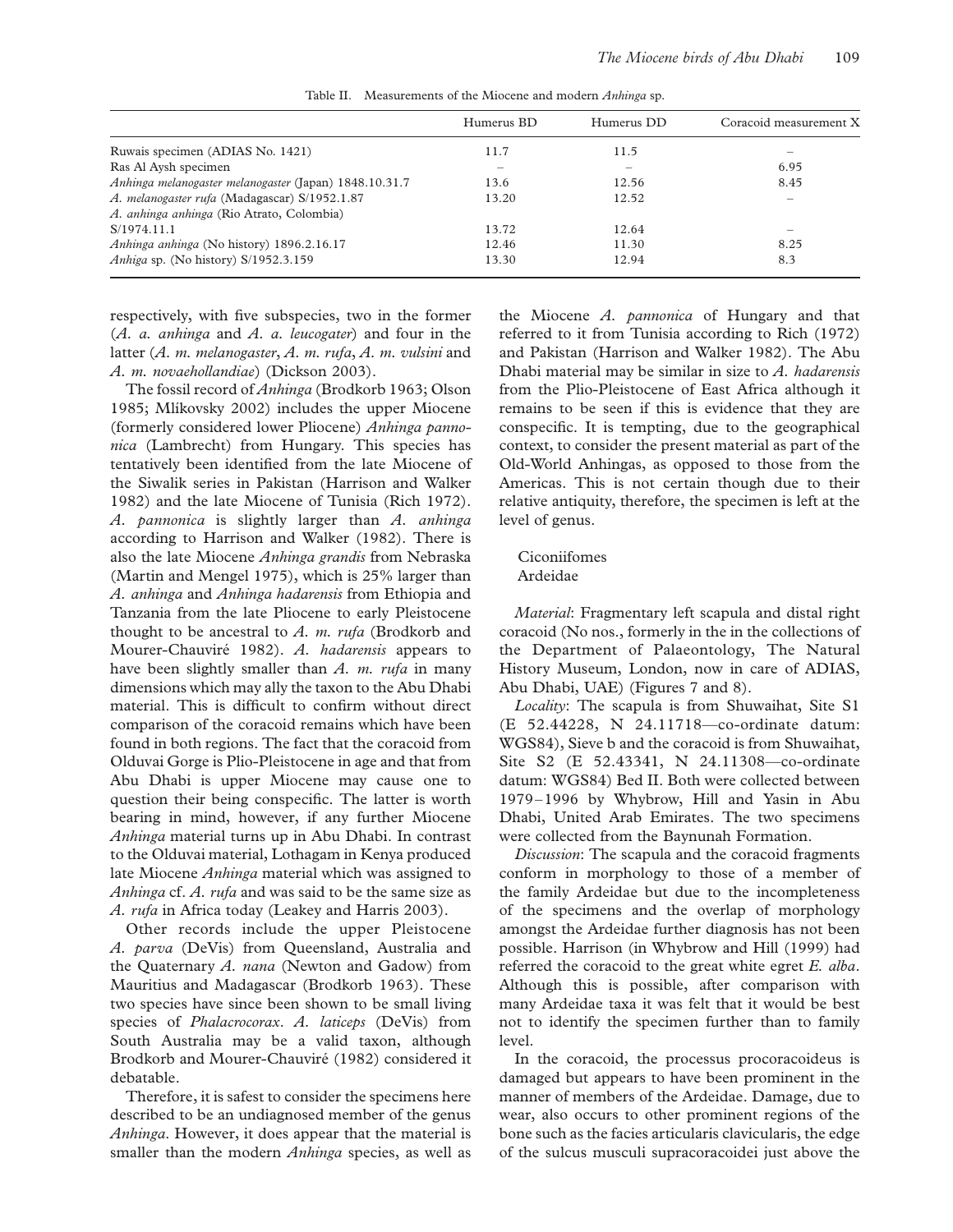|                                                        | Humerus BD | Humerus DD | Coracoid measurement X |
|--------------------------------------------------------|------------|------------|------------------------|
| Ruwais specimen (ADIAS No. 1421)                       | 11.7       | 11.5       |                        |
| Ras Al Aysh specimen                                   |            |            | 6.95                   |
| Anhinga melanogaster melanogaster (Japan) 1848.10.31.7 | 13.6       | 12.56      | 8.45                   |
| A. melanogaster rufa (Madagascar) S/1952.1.87          | 13.20      | 12.52      |                        |
| A. anhinga anhinga (Rio Atrato, Colombia)              |            |            |                        |
| S/1974.11.1                                            | 13.72      | 12.64      |                        |
| Anhinga anhinga (No history) 1896.2.16.17              | 12.46      | 11.30      | 8.25                   |
| <i>Anhiga</i> sp. (No history) S/1952.3.159            | 13.30      | 12.94      | 8.3                    |

Table II. Measurements of the Miocene and modern Anhinga sp.

respectively, with five subspecies, two in the former  $(A. a. *anhinga* and *A. a. leucogater*) and four in the$ latter (A. m. melanogaster, A. m. rufa, A. m. vulsini and A. m. novaehollandiae) (Dickson 2003).

The fossil record of Anhinga (Brodkorb 1963; Olson 1985; Mlíkovsky 2002) includes the upper Miocene (formerly considered lower Pliocene) Anhinga pannonica (Lambrecht) from Hungary. This species has tentatively been identified from the late Miocene of the Siwalik series in Pakistan (Harrison and Walker 1982) and the late Miocene of Tunisia (Rich 1972). A. pannonica is slightly larger than A. anhinga according to Harrison and Walker (1982). There is also the late Miocene Anhinga grandis from Nebraska (Martin and Mengel 1975), which is 25% larger than A. anhinga and Anhinga hadarensis from Ethiopia and Tanzania from the late Pliocene to early Pleistocene thought to be ancestral to  $A$ . m. rufa (Brodkorb and Mourer-Chauviré 1982). A. hadarensis appears to have been slightly smaller than A. m. rufa in many dimensions which may ally the taxon to the Abu Dhabi material. This is difficult to confirm without direct comparison of the coracoid remains which have been found in both regions. The fact that the coracoid from Olduvai Gorge is Plio-Pleistocene in age and that from Abu Dhabi is upper Miocene may cause one to question their being conspecific. The latter is worth bearing in mind, however, if any further Miocene Anhinga material turns up in Abu Dhabi. In contrast to the Olduvai material, Lothagam in Kenya produced late Miocene *Anhinga* material which was assigned to Anhinga cf. A. rufa and was said to be the same size as A. rufa in Africa today (Leakey and Harris 2003).

Other records include the upper Pleistocene A. parva (DeVis) from Queensland, Australia and the Quaternary A. nana (Newton and Gadow) from Mauritius and Madagascar (Brodkorb 1963). These two species have since been shown to be small living species of *Phalacrocorax. A. laticeps* (DeVis) from South Australia may be a valid taxon, although Brodkorb and Mourer-Chauviré (1982) considered it debatable.

Therefore, it is safest to consider the specimens here described to be an undiagnosed member of the genus Anhinga. However, it does appear that the material is smaller than the modern Anhinga species, as well as the Miocene A. pannonica of Hungary and that referred to it from Tunisia according to Rich (1972) and Pakistan (Harrison and Walker 1982). The Abu Dhabi material may be similar in size to  $A$ . hadarensis from the Plio-Pleistocene of East Africa although it remains to be seen if this is evidence that they are conspecific. It is tempting, due to the geographical context, to consider the present material as part of the Old-World Anhingas, as opposed to those from the Americas. This is not certain though due to their relative antiquity, therefore, the specimen is left at the level of genus.

## **Ciconiifomes** Ardeidae

Material: Fragmentary left scapula and distal right coracoid (No nos., formerly in the in the collections of the Department of Palaeontology, The Natural History Museum, London, now in care of ADIAS, Abu Dhabi, UAE) (Figures 7 and 8).

Locality: The scapula is from Shuwaihat, Site S1 (E 52.44228, N 24.11718—co-ordinate datum: WGS84), Sieve b and the coracoid is from Shuwaihat, Site S2 (E 52.43341, N 24.11308—co-ordinate datum: WGS84) Bed II. Both were collected between 1979–1996 by Whybrow, Hill and Yasin in Abu Dhabi, United Arab Emirates. The two specimens were collected from the Baynunah Formation.

Discussion: The scapula and the coracoid fragments conform in morphology to those of a member of the family Ardeidae but due to the incompleteness of the specimens and the overlap of morphology amongst the Ardeidae further diagnosis has not been possible. Harrison (in Whybrow and Hill (1999) had referred the coracoid to the great white egret E. alba. Although this is possible, after comparison with many Ardeidae taxa it was felt that it would be best not to identify the specimen further than to family level.

In the coracoid, the processus procoracoideus is damaged but appears to have been prominent in the manner of members of the Ardeidae. Damage, due to wear, also occurs to other prominent regions of the bone such as the facies articularis clavicularis, the edge of the sulcus musculi supracoracoidei just above the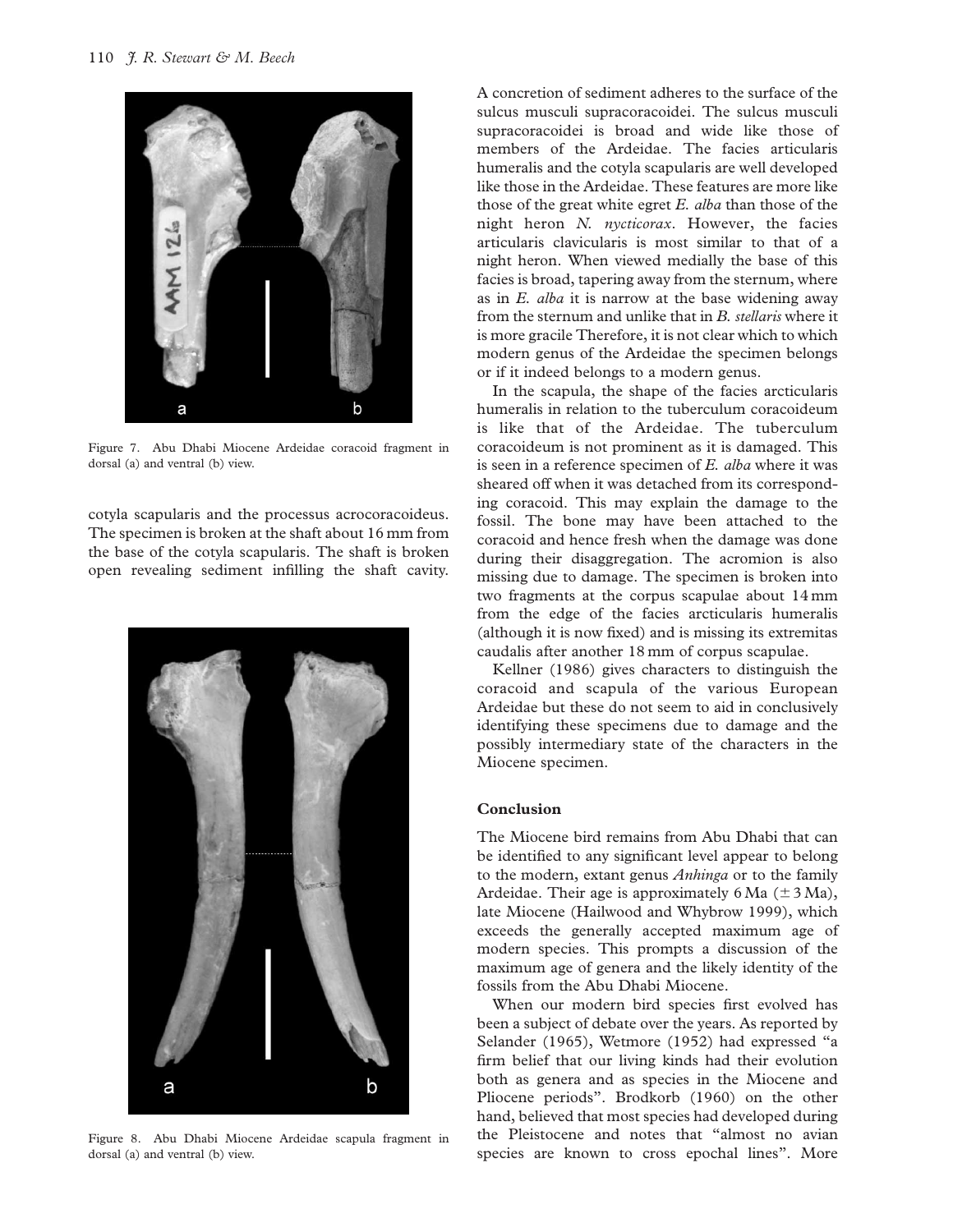

Figure 7. Abu Dhabi Miocene Ardeidae coracoid fragment in dorsal (a) and ventral (b) view.

cotyla scapularis and the processus acrocoracoideus. The specimen is broken at the shaft about 16 mm from the base of the cotyla scapularis. The shaft is broken open revealing sediment infilling the shaft cavity.



Figure 8. Abu Dhabi Miocene Ardeidae scapula fragment in dorsal (a) and ventral (b) view.

A concretion of sediment adheres to the surface of the sulcus musculi supracoracoidei. The sulcus musculi supracoracoidei is broad and wide like those of members of the Ardeidae. The facies articularis humeralis and the cotyla scapularis are well developed like those in the Ardeidae. These features are more like those of the great white egret  $E$ . alba than those of the night heron N. nycticorax. However, the facies articularis clavicularis is most similar to that of a night heron. When viewed medially the base of this facies is broad, tapering away from the sternum, where as in  $E$ . *alba* it is narrow at the base widening away from the sternum and unlike that in B. stellaris where it is more gracile Therefore, it is not clear which to which modern genus of the Ardeidae the specimen belongs or if it indeed belongs to a modern genus.

In the scapula, the shape of the facies arcticularis humeralis in relation to the tuberculum coracoideum is like that of the Ardeidae. The tuberculum coracoideum is not prominent as it is damaged. This is seen in a reference specimen of  $E$ . alba where it was sheared off when it was detached from its corresponding coracoid. This may explain the damage to the fossil. The bone may have been attached to the coracoid and hence fresh when the damage was done during their disaggregation. The acromion is also missing due to damage. The specimen is broken into two fragments at the corpus scapulae about 14 mm from the edge of the facies arcticularis humeralis (although it is now fixed) and is missing its extremitas caudalis after another 18 mm of corpus scapulae.

Kellner (1986) gives characters to distinguish the coracoid and scapula of the various European Ardeidae but these do not seem to aid in conclusively identifying these specimens due to damage and the possibly intermediary state of the characters in the Miocene specimen.

## Conclusion

The Miocene bird remains from Abu Dhabi that can be identified to any significant level appear to belong to the modern, extant genus Anhinga or to the family Ardeidae. Their age is approximately 6 Ma  $(\pm 3$  Ma), late Miocene (Hailwood and Whybrow 1999), which exceeds the generally accepted maximum age of modern species. This prompts a discussion of the maximum age of genera and the likely identity of the fossils from the Abu Dhabi Miocene.

When our modern bird species first evolved has been a subject of debate over the years. As reported by Selander (1965), Wetmore (1952) had expressed "a firm belief that our living kinds had their evolution both as genera and as species in the Miocene and Pliocene periods". Brodkorb (1960) on the other hand, believed that most species had developed during the Pleistocene and notes that "almost no avian species are known to cross epochal lines". More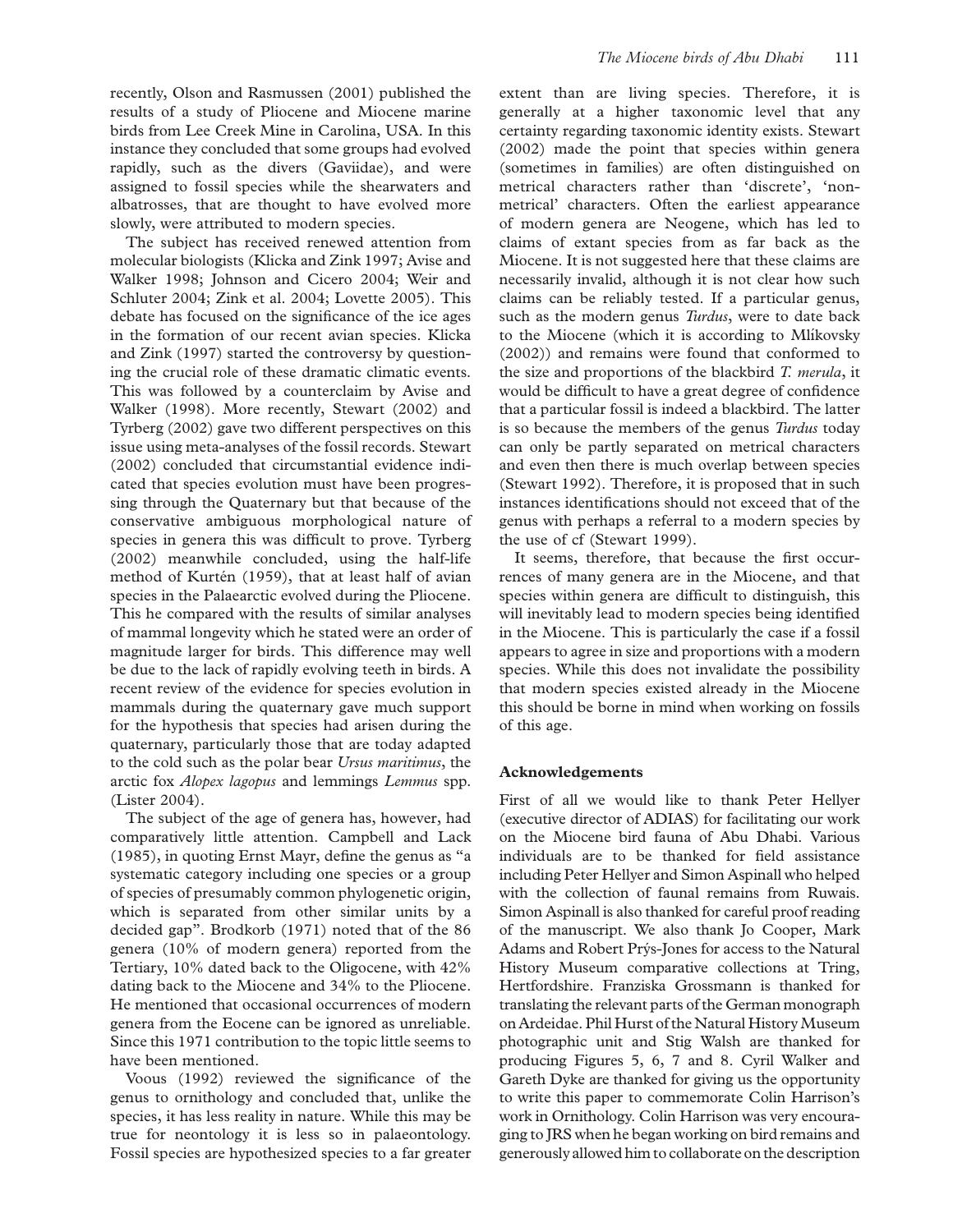The subject has received renewed attention from molecular biologists (Klicka and Zink 1997; Avise and Walker 1998; Johnson and Cicero 2004; Weir and Schluter 2004; Zink et al. 2004; Lovette 2005). This debate has focused on the significance of the ice ages in the formation of our recent avian species. Klicka and Zink (1997) started the controversy by questioning the crucial role of these dramatic climatic events. This was followed by a counterclaim by Avise and Walker (1998). More recently, Stewart (2002) and Tyrberg (2002) gave two different perspectives on this issue using meta-analyses of the fossil records. Stewart (2002) concluded that circumstantial evidence indicated that species evolution must have been progressing through the Quaternary but that because of the conservative ambiguous morphological nature of species in genera this was difficult to prove. Tyrberg (2002) meanwhile concluded, using the half-life method of Kurtén (1959), that at least half of avian species in the Palaearctic evolved during the Pliocene. This he compared with the results of similar analyses of mammal longevity which he stated were an order of magnitude larger for birds. This difference may well be due to the lack of rapidly evolving teeth in birds. A recent review of the evidence for species evolution in mammals during the quaternary gave much support for the hypothesis that species had arisen during the quaternary, particularly those that are today adapted to the cold such as the polar bear Ursus maritimus, the arctic fox *Alopex lagopus* and lemmings *Lemmus* spp. (Lister 2004).

The subject of the age of genera has, however, had comparatively little attention. Campbell and Lack (1985), in quoting Ernst Mayr, define the genus as "a systematic category including one species or a group of species of presumably common phylogenetic origin, which is separated from other similar units by a decided gap". Brodkorb (1971) noted that of the 86 genera (10% of modern genera) reported from the Tertiary, 10% dated back to the Oligocene, with 42% dating back to the Miocene and 34% to the Pliocene. He mentioned that occasional occurrences of modern genera from the Eocene can be ignored as unreliable. Since this 1971 contribution to the topic little seems to have been mentioned.

Voous (1992) reviewed the significance of the genus to ornithology and concluded that, unlike the species, it has less reality in nature. While this may be true for neontology it is less so in palaeontology. Fossil species are hypothesized species to a far greater extent than are living species. Therefore, it is generally at a higher taxonomic level that any certainty regarding taxonomic identity exists. Stewart (2002) made the point that species within genera (sometimes in families) are often distinguished on metrical characters rather than 'discrete', 'nonmetrical' characters. Often the earliest appearance of modern genera are Neogene, which has led to claims of extant species from as far back as the Miocene. It is not suggested here that these claims are necessarily invalid, although it is not clear how such claims can be reliably tested. If a particular genus, such as the modern genus Turdus, were to date back to the Miocene (which it is according to Mlikovsky (2002)) and remains were found that conformed to the size and proportions of the blackbird T. merula, it would be difficult to have a great degree of confidence that a particular fossil is indeed a blackbird. The latter is so because the members of the genus Turdus today can only be partly separated on metrical characters and even then there is much overlap between species (Stewart 1992). Therefore, it is proposed that in such instances identifications should not exceed that of the genus with perhaps a referral to a modern species by the use of cf (Stewart 1999).

It seems, therefore, that because the first occurrences of many genera are in the Miocene, and that species within genera are difficult to distinguish, this will inevitably lead to modern species being identified in the Miocene. This is particularly the case if a fossil appears to agree in size and proportions with a modern species. While this does not invalidate the possibility that modern species existed already in the Miocene this should be borne in mind when working on fossils of this age.

# Acknowledgements

First of all we would like to thank Peter Hellyer (executive director of ADIAS) for facilitating our work on the Miocene bird fauna of Abu Dhabi. Various individuals are to be thanked for field assistance including Peter Hellyer and Simon Aspinall who helped with the collection of faunal remains from Ruwais. Simon Aspinall is also thanked for careful proof reading of the manuscript. We also thank Jo Cooper, Mark Adams and Robert Prýs-Jones for access to the Natural History Museum comparative collections at Tring, Hertfordshire. Franziska Grossmann is thanked for translating the relevant parts of the German monograph on Ardeidae. Phil Hurst of the Natural History Museum photographic unit and Stig Walsh are thanked for producing Figures 5, 6, 7 and 8. Cyril Walker and Gareth Dyke are thanked for giving us the opportunity to write this paper to commemorate Colin Harrison's work in Ornithology. Colin Harrison was very encouraging to JRS when he began working on bird remains and generously allowed him to collaborate on the description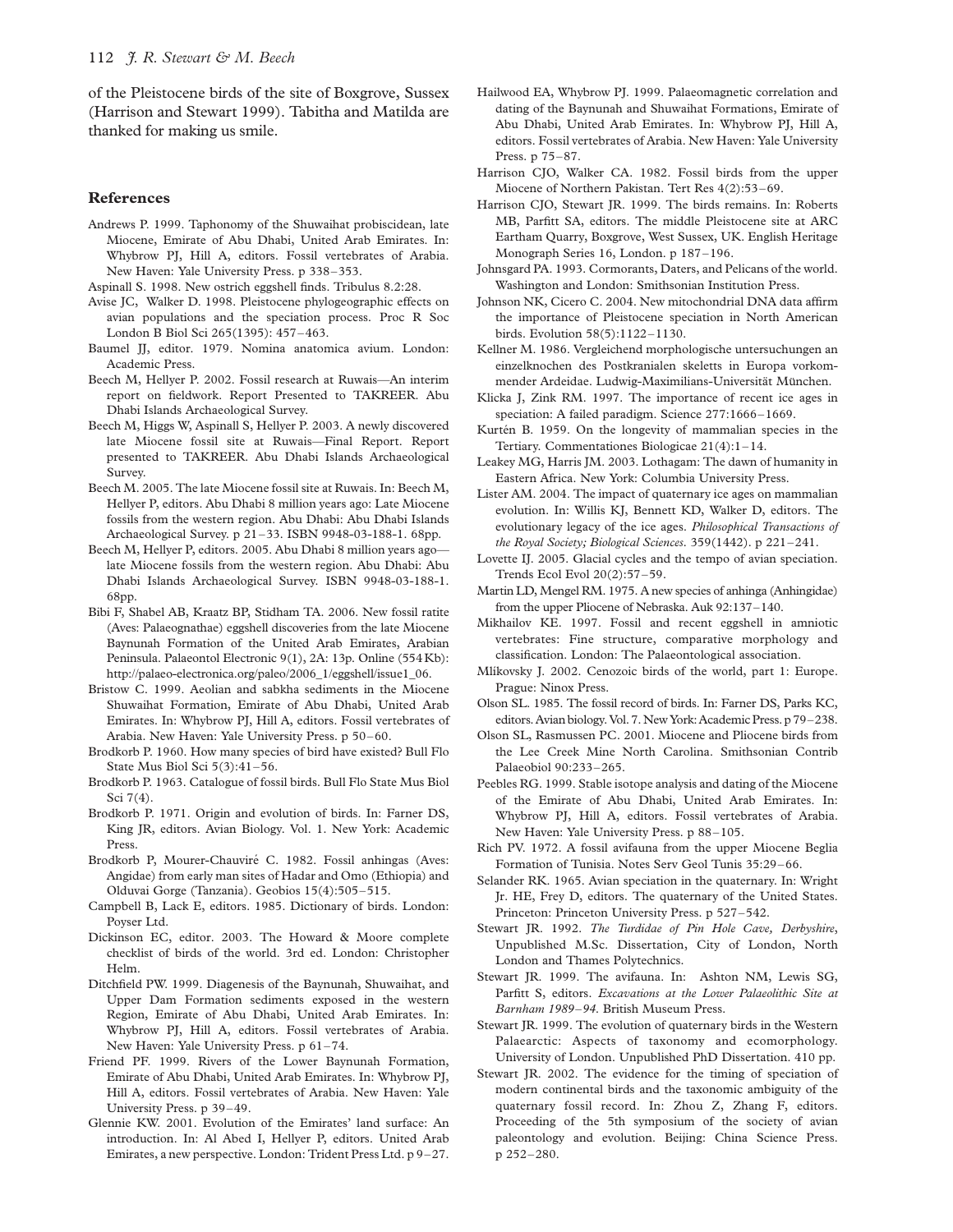of the Pleistocene birds of the site of Boxgrove, Sussex (Harrison and Stewart 1999). Tabitha and Matilda are thanked for making us smile.

### **References**

- Andrews P. 1999. Taphonomy of the Shuwaihat probiscidean, late Miocene, Emirate of Abu Dhabi, United Arab Emirates. In: Whybrow PJ, Hill A, editors. Fossil vertebrates of Arabia. New Haven: Yale University Press. p 338–353.
- Aspinall S. 1998. New ostrich eggshell finds. Tribulus 8.2:28.
- Avise JC, Walker D. 1998. Pleistocene phylogeographic effects on avian populations and the speciation process. Proc R Soc London B Biol Sci 265(1395): 457–463.
- Baumel JJ, editor. 1979. Nomina anatomica avium. London: Academic Press.
- Beech M, Hellyer P. 2002. Fossil research at Ruwais—An interim report on fieldwork. Report Presented to TAKREER. Abu Dhabi Islands Archaeological Survey.
- Beech M, Higgs W, Aspinall S, Hellyer P. 2003. A newly discovered late Miocene fossil site at Ruwais—Final Report. Report presented to TAKREER. Abu Dhabi Islands Archaeological Survey.
- Beech M. 2005. The late Miocene fossil site at Ruwais. In: Beech M, Hellyer P, editors. Abu Dhabi 8 million years ago: Late Miocene fossils from the western region. Abu Dhabi: Abu Dhabi Islands Archaeological Survey. p 21–33. ISBN 9948-03-188-1. 68pp.
- Beech M, Hellyer P, editors. 2005. Abu Dhabi 8 million years ago late Miocene fossils from the western region. Abu Dhabi: Abu Dhabi Islands Archaeological Survey. ISBN 9948-03-188-1. 68pp.
- Bibi F, Shabel AB, Kraatz BP, Stidham TA. 2006. New fossil ratite (Aves: Palaeognathae) eggshell discoveries from the late Miocene Baynunah Formation of the United Arab Emirates, Arabian Peninsula. Palaeontol Electronic 9(1), 2A: 13p. Online (554 Kb): http://palaeo-electronica.org/paleo/2006\_1/eggshell/issue1\_06.
- Bristow C. 1999. Aeolian and sabkha sediments in the Miocene Shuwaihat Formation, Emirate of Abu Dhabi, United Arab Emirates. In: Whybrow PJ, Hill A, editors. Fossil vertebrates of Arabia. New Haven: Yale University Press. p 50–60.
- Brodkorb P. 1960. How many species of bird have existed? Bull Flo State Mus Biol Sci 5(3):41–56.
- Brodkorb P. 1963. Catalogue of fossil birds. Bull Flo State Mus Biol Sci 7(4).
- Brodkorb P. 1971. Origin and evolution of birds. In: Farner DS, King JR, editors. Avian Biology. Vol. 1. New York: Academic Press.
- Brodkorb P, Mourer-Chauviré C. 1982. Fossil anhingas (Aves: Angidae) from early man sites of Hadar and Omo (Ethiopia) and Olduvai Gorge (Tanzania). Geobios 15(4):505–515.
- Campbell B, Lack E, editors. 1985. Dictionary of birds. London: Poyser Ltd.
- Dickinson EC, editor. 2003. The Howard & Moore complete checklist of birds of the world. 3rd ed. London: Christopher Helm.
- Ditchfield PW. 1999. Diagenesis of the Baynunah, Shuwaihat, and Upper Dam Formation sediments exposed in the western Region, Emirate of Abu Dhabi, United Arab Emirates. In: Whybrow PJ, Hill A, editors. Fossil vertebrates of Arabia. New Haven: Yale University Press. p 61–74.
- Friend PF. 1999. Rivers of the Lower Baynunah Formation, Emirate of Abu Dhabi, United Arab Emirates. In: Whybrow PJ, Hill A, editors. Fossil vertebrates of Arabia. New Haven: Yale University Press. p 39–49.
- Glennie KW. 2001. Evolution of the Emirates' land surface: An introduction. In: Al Abed I, Hellyer P, editors. United Arab Emirates, a new perspective. London: Trident Press Ltd. p 9–27.
- Hailwood EA, Whybrow PJ. 1999. Palaeomagnetic correlation and dating of the Baynunah and Shuwaihat Formations, Emirate of Abu Dhabi, United Arab Emirates. In: Whybrow PJ, Hill A, editors. Fossil vertebrates of Arabia. New Haven: Yale University Press. p 75–87.
- Harrison CJO, Walker CA. 1982. Fossil birds from the upper Miocene of Northern Pakistan. Tert Res 4(2):53–69.
- Harrison CJO, Stewart JR. 1999. The birds remains. In: Roberts MB, Parfitt SA, editors. The middle Pleistocene site at ARC Eartham Quarry, Boxgrove, West Sussex, UK. English Heritage Monograph Series 16, London. p 187–196.
- Johnsgard PA. 1993. Cormorants, Daters, and Pelicans of the world. Washington and London: Smithsonian Institution Press.
- Johnson NK, Cicero C. 2004. New mitochondrial DNA data affirm the importance of Pleistocene speciation in North American birds. Evolution 58(5):1122–1130.
- Kellner M. 1986. Vergleichend morphologische untersuchungen an einzelknochen des Postkranialen skeletts in Europa vorkommender Ardeidae. Ludwig-Maximilians-Universität München.
- Klicka J, Zink RM. 1997. The importance of recent ice ages in speciation: A failed paradigm. Science 277:1666–1669.
- Kurtén B. 1959. On the longevity of mammalian species in the Tertiary. Commentationes Biologicae 21(4):1–14.
- Leakey MG, Harris JM. 2003. Lothagam: The dawn of humanity in Eastern Africa. New York: Columbia University Press.
- Lister AM. 2004. The impact of quaternary ice ages on mammalian evolution. In: Willis KJ, Bennett KD, Walker D, editors. The evolutionary legacy of the ice ages. Philosophical Transactions of the Royal Society; Biological Sciences. 359(1442). p 221–241.
- Lovette IJ. 2005. Glacial cycles and the tempo of avian speciation. Trends Ecol Evol 20(2):57–59.
- Martin LD, Mengel RM. 1975. A new species of anhinga (Anhingidae) from the upper Pliocene of Nebraska. Auk 92:137–140.
- Mikhailov KE. 1997. Fossil and recent eggshell in amniotic vertebrates: Fine structure, comparative morphology and classification. London: The Palaeontological association.
- Mlíkovsky J. 2002. Cenozoic birds of the world, part 1: Europe. Prague: Ninox Press.
- Olson SL. 1985. The fossil record of birds. In: Farner DS, Parks KC, editors. Avian biology. Vol. 7. New York: Academic Press. p 79-238.
- Olson SL, Rasmussen PC. 2001. Miocene and Pliocene birds from the Lee Creek Mine North Carolina. Smithsonian Contrib Palaeobiol 90:233–265.
- Peebles RG. 1999. Stable isotope analysis and dating of the Miocene of the Emirate of Abu Dhabi, United Arab Emirates. In: Whybrow PJ, Hill A, editors. Fossil vertebrates of Arabia. New Haven: Yale University Press. p 88–105.
- Rich PV. 1972. A fossil avifauna from the upper Miocene Beglia Formation of Tunisia. Notes Serv Geol Tunis 35:29–66.
- Selander RK. 1965. Avian speciation in the quaternary. In: Wright Jr. HE, Frey D, editors. The quaternary of the United States. Princeton: Princeton University Press. p 527–542.
- Stewart JR. 1992. The Turdidae of Pin Hole Cave, Derbyshire, Unpublished M.Sc. Dissertation, City of London, North London and Thames Polytechnics.
- Stewart JR. 1999. The avifauna. In: Ashton NM, Lewis SG, Parfitt S, editors. Excavations at the Lower Palaeolithic Site at Barnham 1989-94. British Museum Press.
- Stewart JR. 1999. The evolution of quaternary birds in the Western Palaearctic: Aspects of taxonomy and ecomorphology. University of London. Unpublished PhD Dissertation. 410 pp.
- Stewart JR. 2002. The evidence for the timing of speciation of modern continental birds and the taxonomic ambiguity of the quaternary fossil record. In: Zhou Z, Zhang F, editors. Proceeding of the 5th symposium of the society of avian paleontology and evolution. Beijing: China Science Press. p 252–280.